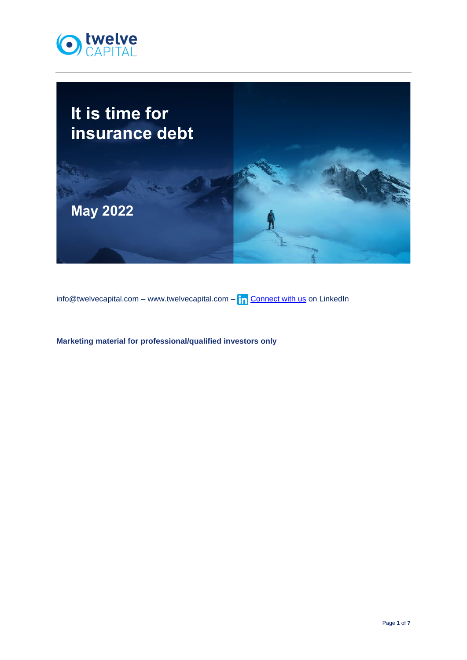



 $\frac{1}{\ln 2}$  info@twelvecapital.com – www.twelvecapital.com –  $\ln 2$  [Connect with us](https://www.linkedin.com/company/twelve-capital) on LinkedIn

**Marketing material for professional/qualified investors only**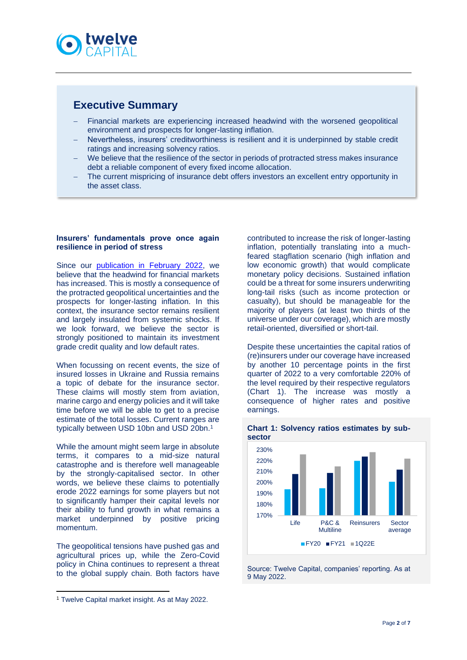![](_page_1_Picture_0.jpeg)

# **Executive Summary**

- Financial markets are experiencing increased headwind with the worsened geopolitical environment and prospects for longer-lasting inflation.
- Nevertheless, insurers' creditworthiness is resilient and it is underpinned by stable credit ratings and increasing solvency ratios.
- We believe that the resilience of the sector in periods of protracted stress makes insurance debt a reliable component of every fixed income allocation.
- The current mispricing of insurance debt offers investors an excellent entry opportunity in the asset class.

### **Insurers' fundamentals prove once again resilience in period of stress**

Since our **publication** in February 2022, we believe that the headwind for financial markets has increased. This is mostly a consequence of the protracted geopolitical uncertainties and the prospects for longer-lasting inflation. In this context, the insurance sector remains resilient and largely insulated from systemic shocks. If we look forward, we believe the sector is strongly positioned to maintain its investment grade credit quality and low default rates.

When focussing on recent events, the size of insured losses in Ukraine and Russia remains a topic of debate for the insurance sector. These claims will mostly stem from aviation, marine cargo and energy policies and it will take time before we will be able to get to a precise estimate of the total losses. Current ranges are typically between USD 10bn and USD 20bn.<sup>1</sup>

While the amount might seem large in absolute terms, it compares to a mid-size natural catastrophe and is therefore well manageable by the strongly-capitalised sector. In other words, we believe these claims to potentially erode 2022 earnings for some players but not to significantly hamper their capital levels nor their ability to fund growth in what remains a market underpinned by positive pricing momentum.

The geopolitical tensions have pushed gas and agricultural prices up, while the Zero-Covid policy in China continues to represent a threat to the global supply chain. Both factors have contributed to increase the risk of longer-lasting inflation, potentially translating into a muchfeared stagflation scenario (high inflation and low economic growth) that would complicate monetary policy decisions. Sustained inflation could be a threat for some insurers underwriting long-tail risks (such as income protection or casualty), but should be manageable for the majority of players (at least two thirds of the universe under our coverage), which are mostly retail-oriented, diversified or short-tail.

Despite these uncertainties the capital ratios of (re)insurers under our coverage have increased by another 10 percentage points in the first quarter of 2022 to a very comfortable 220% of the level required by their respective regulators (Chart 1). The increase was mostly a consequence of higher rates and positive earnings.

![](_page_1_Figure_14.jpeg)

# **Chart 1: Solvency ratios estimates by sub-**

Source: Twelve Capital, companies' reporting. As at 9 May 2022.

<sup>1</sup> Twelve Capital market insight. As at May 2022.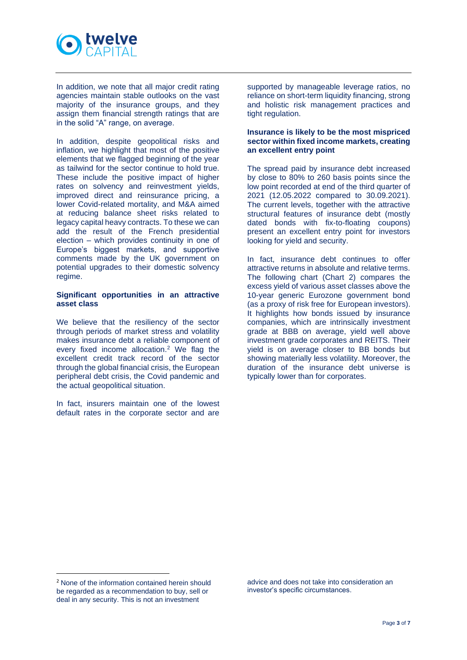![](_page_2_Picture_0.jpeg)

In addition, we note that all major credit rating agencies maintain stable outlooks on the vast majority of the insurance groups, and they assign them financial strength ratings that are in the solid "A" range, on average.

In addition, despite geopolitical risks and inflation, we highlight that most of the positive elements that we flagged beginning of the year as tailwind for the sector continue to hold true. These include the positive impact of higher rates on solvency and reinvestment yields, improved direct and reinsurance pricing, a lower Covid-related mortality, and M&A aimed at reducing balance sheet risks related to legacy capital heavy contracts. To these we can add the result of the French presidential election – which provides continuity in one of Europe's biggest markets, and supportive comments made by the UK government on potential upgrades to their domestic solvency regime.

# **Significant opportunities in an attractive asset class**

We believe that the resiliency of the sector through periods of market stress and volatility makes insurance debt a reliable component of every fixed income allocation.<sup>2</sup> We flag the excellent credit track record of the sector through the global financial crisis, the European peripheral debt crisis, the Covid pandemic and the actual geopolitical situation.

In fact, insurers maintain one of the lowest default rates in the corporate sector and are supported by manageable leverage ratios, no reliance on short-term liquidity financing, strong and holistic risk management practices and tight regulation.

# **Insurance is likely to be the most mispriced sector within fixed income markets, creating an excellent entry point**

The spread paid by insurance debt increased by close to 80% to 260 basis points since the low point recorded at end of the third quarter of 2021 (12.05.2022 compared to 30.09.2021). The current levels, together with the attractive structural features of insurance debt (mostly dated bonds with fix-to-floating coupons) present an excellent entry point for investors looking for yield and security.

In fact, insurance debt continues to offer attractive returns in absolute and relative terms. The following chart (Chart 2) compares the excess yield of various asset classes above the 10-year generic Eurozone government bond (as a proxy of risk free for European investors). It highlights how bonds issued by insurance companies, which are intrinsically investment grade at BBB on average, yield well above investment grade corporates and REITS. Their yield is on average closer to BB bonds but showing materially less volatility. Moreover, the duration of the insurance debt universe is typically lower than for corporates.

advice and does not take into consideration an investor's specific circumstances.

<sup>2</sup> None of the information contained herein should be regarded as a recommendation to buy, sell or deal in any security. This is not an investment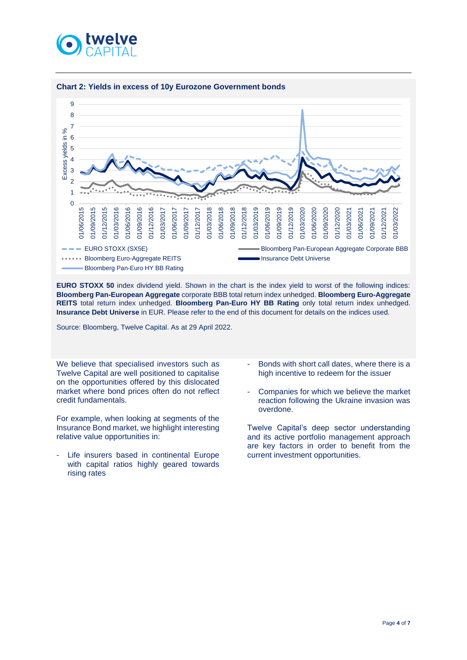![](_page_3_Picture_0.jpeg)

![](_page_3_Figure_1.jpeg)

#### **Chart 2: Yields in excess of 10y Eurozone Government bonds**

**EURO STOXX 50** index dividend yield. Shown in the chart is the index yield to worst of the following indices: **Bloomberg Pan-European Aggregate** corporate BBB total return index unhedged. **Bloomberg Euro-Aggregate REITS** total return index unhedged. **Bloomberg Pan-Euro HY BB Rating** only total return index unhedged. **Insurance Debt Universe** in EUR. Please refer to the end of this document for details on the indices used.

Source: Bloomberg, Twelve Capital. As at 29 April 2022.

We believe that specialised investors such as Twelve Capital are well positioned to capitalise on the opportunities offered by this dislocated market where bond prices often do not reflect credit fundamentals.

For example, when looking at segments of the Insurance Bond market, we highlight interesting relative value opportunities in:

Life insurers based in continental Europe with capital ratios highly geared towards rising rates

- Bonds with short call dates, where there is a high incentive to redeem for the issuer
- Companies for which we believe the market reaction following the Ukraine invasion was overdone.

Twelve Capital's deep sector understanding and its active portfolio management approach are key factors in order to benefit from the current investment opportunities.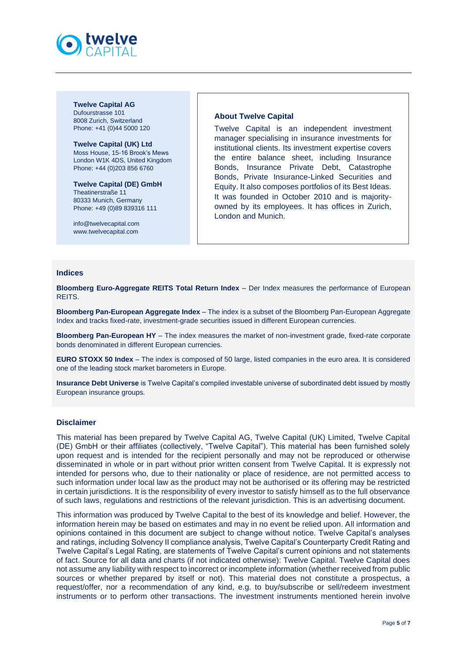![](_page_4_Picture_0.jpeg)

**Twelve Capital AG** Dufourstrasse 101 8008 Zurich, Switzerland Phone: +41 (0)44 5000 120

**Twelve Capital (UK) Ltd** Moss House, 15-16 Brook's Mews London W1K 4DS, United Kingdom Phone: +44 (0)203 856 6760

**Twelve Capital (DE) GmbH** Theatinerstraße 11 80333 Munich, Germany Phone: +49 (0)89 839316 111

[info@twelvecapital.com](mailto:info@twelvecapital.com) [www.twelvecapital.com](http://www.twelvecapital.com/)

## **About Twelve Capital**

Twelve Capital is an independent investment manager specialising in insurance investments for institutional clients. Its investment expertise covers the entire balance sheet, including Insurance Bonds, Insurance Private Debt, Catastrophe Bonds, Private Insurance-Linked Securities and Equity. It also composes portfolios of its Best Ideas. It was founded in October 2010 and is majorityowned by its employees. It has offices in Zurich, London and Munich.

#### **Indices**

**Bloomberg Euro-Aggregate REITS Total Return Index** – Der Index measures the performance of European REITS.

**Bloomberg Pan-European Aggregate Index** – The index is a subset of the Bloomberg Pan-European Aggregate Index and tracks fixed-rate, investment-grade securities issued in different European currencies.

**Bloomberg Pan-European HY** – The index measures the market of non-investment grade, fixed-rate corporate bonds denominated in different European currencies.

**EURO STOXX 50 Index** – The index is composed of 50 large, listed companies in the euro area. It is considered one of the leading stock market barometers in Europe.

**Insurance Debt Universe** is Twelve Capital's compiled investable universe of subordinated debt issued by mostly European insurance groups.

#### **Disclaimer**

This material has been prepared by Twelve Capital AG, Twelve Capital (UK) Limited, Twelve Capital (DE) GmbH or their affiliates (collectively, "Twelve Capital"). This material has been furnished solely upon request and is intended for the recipient personally and may not be reproduced or otherwise disseminated in whole or in part without prior written consent from Twelve Capital. It is expressly not intended for persons who, due to their nationality or place of residence, are not permitted access to such information under local law as the product may not be authorised or its offering may be restricted in certain jurisdictions. It is the responsibility of every investor to satisfy himself as to the full observance of such laws, regulations and restrictions of the relevant jurisdiction. This is an advertising document.

This information was produced by Twelve Capital to the best of its knowledge and belief. However, the information herein may be based on estimates and may in no event be relied upon. All information and opinions contained in this document are subject to change without notice. Twelve Capital's analyses and ratings, including Solvency II compliance analysis, Twelve Capital's Counterparty Credit Rating and Twelve Capital's Legal Rating, are statements of Twelve Capital's current opinions and not statements of fact. Source for all data and charts (if not indicated otherwise): Twelve Capital. Twelve Capital does not assume any liability with respect to incorrect or incomplete information (whether received from public sources or whether prepared by itself or not). This material does not constitute a prospectus, a request/offer, nor a recommendation of any kind, e.g. to buy/subscribe or sell/redeem investment instruments or to perform other transactions. The investment instruments mentioned herein involve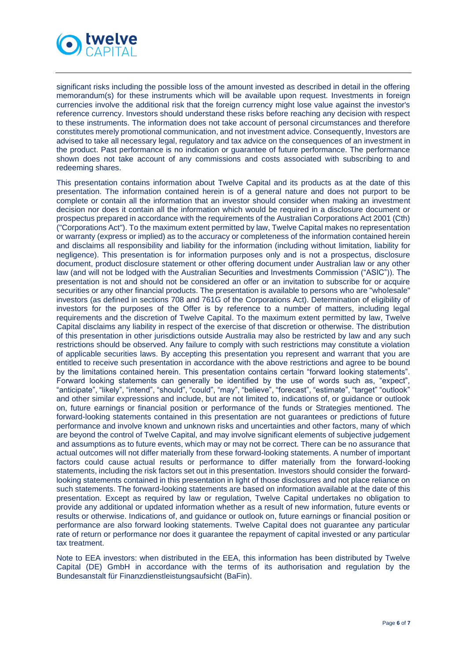![](_page_5_Picture_0.jpeg)

significant risks including the possible loss of the amount invested as described in detail in the offering memorandum(s) for these instruments which will be available upon request. Investments in foreign currencies involve the additional risk that the foreign currency might lose value against the investor's reference currency. Investors should understand these risks before reaching any decision with respect to these instruments. The information does not take account of personal circumstances and therefore constitutes merely promotional communication, and not investment advice. Consequently, Investors are advised to take all necessary legal, regulatory and tax advice on the consequences of an investment in the product. Past performance is no indication or guarantee of future performance. The performance shown does not take account of any commissions and costs associated with subscribing to and redeeming shares.

This presentation contains information about Twelve Capital and its products as at the date of this presentation. The information contained herein is of a general nature and does not purport to be complete or contain all the information that an investor should consider when making an investment decision nor does it contain all the information which would be required in a disclosure document or prospectus prepared in accordance with the requirements of the Australian Corporations Act 2001 (Cth) ("Corporations Act"). To the maximum extent permitted by law, Twelve Capital makes no representation or warranty (express or implied) as to the accuracy or completeness of the information contained herein and disclaims all responsibility and liability for the information (including without limitation, liability for negligence). This presentation is for information purposes only and is not a prospectus, disclosure document, product disclosure statement or other offering document under Australian law or any other law (and will not be lodged with the Australian Securities and Investments Commission ("ASIC")). The presentation is not and should not be considered an offer or an invitation to subscribe for or acquire securities or any other financial products. The presentation is available to persons who are "wholesale" investors (as defined in sections 708 and 761G of the Corporations Act). Determination of eligibility of investors for the purposes of the Offer is by reference to a number of matters, including legal requirements and the discretion of Twelve Capital. To the maximum extent permitted by law, Twelve Capital disclaims any liability in respect of the exercise of that discretion or otherwise. The distribution of this presentation in other jurisdictions outside Australia may also be restricted by law and any such restrictions should be observed. Any failure to comply with such restrictions may constitute a violation of applicable securities laws. By accepting this presentation you represent and warrant that you are entitled to receive such presentation in accordance with the above restrictions and agree to be bound by the limitations contained herein. This presentation contains certain "forward looking statements". Forward looking statements can generally be identified by the use of words such as, "expect", "anticipate", "likely", "intend", "should", "could", "may", "believe", "forecast", "estimate", "target" "outlook" and other similar expressions and include, but are not limited to, indications of, or guidance or outlook on, future earnings or financial position or performance of the funds or Strategies mentioned. The forward-looking statements contained in this presentation are not guarantees or predictions of future performance and involve known and unknown risks and uncertainties and other factors, many of which are beyond the control of Twelve Capital, and may involve significant elements of subjective judgement and assumptions as to future events, which may or may not be correct. There can be no assurance that actual outcomes will not differ materially from these forward-looking statements. A number of important factors could cause actual results or performance to differ materially from the forward-looking statements, including the risk factors set out in this presentation. Investors should consider the forwardlooking statements contained in this presentation in light of those disclosures and not place reliance on such statements. The forward-looking statements are based on information available at the date of this presentation. Except as required by law or regulation, Twelve Capital undertakes no obligation to provide any additional or updated information whether as a result of new information, future events or results or otherwise. Indications of, and guidance or outlook on, future earnings or financial position or performance are also forward looking statements. Twelve Capital does not guarantee any particular rate of return or performance nor does it guarantee the repayment of capital invested or any particular tax treatment.

Note to EEA investors: when distributed in the EEA, this information has been distributed by Twelve Capital (DE) GmbH in accordance with the terms of its authorisation and regulation by the Bundesanstalt für Finanzdienstleistungsaufsicht (BaFin).